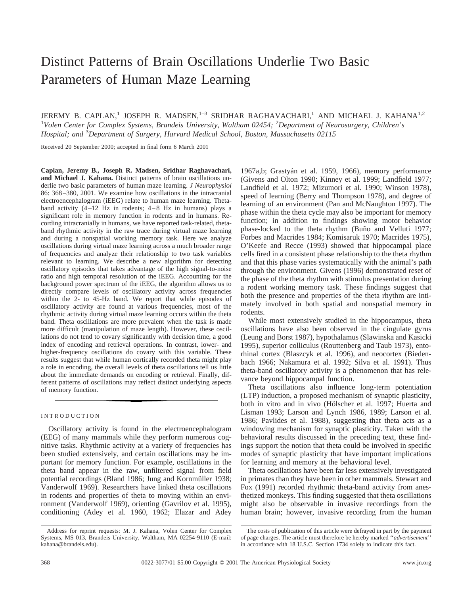# Distinct Patterns of Brain Oscillations Underlie Two Basic Parameters of Human Maze Learning

JEREMY B. CAPLAN,<sup>1</sup> JOSEPH R. MADSEN,<sup>1-3</sup> SRIDHAR RAGHAVACHARI,<sup>1</sup> AND MICHAEL J. KAHANA<sup>1,2</sup> 1 *Volen Center for Complex Systems, Brandeis University, Waltham 02454;* <sup>2</sup> *Department of Neurosurgery, Children's Hospital; and* <sup>3</sup> *Department of Surgery, Harvard Medical School, Boston, Massachusetts 02115*

Received 20 September 2000; accepted in final form 6 March 2001

**Caplan, Jeremy B., Joseph R. Madsen, Sridhar Raghavachari, and Michael J. Kahana.** Distinct patterns of brain oscillations underlie two basic parameters of human maze learning. *J Neurophysiol* 86: 368–380, 2001. We examine how oscillations in the intracranial electroencephalogram (iEEG) relate to human maze learning. Thetaband activity  $(4-12$  Hz in rodents;  $4-8$  Hz in humans) plays a significant role in memory function in rodents and in humans. Recording intracranially in humans, we have reported task-related, thetaband rhythmic activity in the raw trace during virtual maze learning and during a nonspatial working memory task. Here we analyze oscillations during virtual maze learning across a much broader range of frequencies and analyze their relationship to two task variables relevant to learning. We describe a new algorithm for detecting oscillatory episodes that takes advantage of the high signal-to-noise ratio and high temporal resolution of the iEEG. Accounting for the background power spectrum of the iEEG, the algorithm allows us to directly compare levels of oscillatory activity across frequencies within the 2- to 45-Hz band. We report that while episodes of oscillatory activity are found at various frequencies, most of the rhythmic activity during virtual maze learning occurs within the theta band. Theta oscillations are more prevalent when the task is made more difficult (manipulation of maze length). However, these oscillations do not tend to covary significantly with decision time, a good index of encoding and retrieval operations. In contrast, lower- and higher-frequency oscillations do covary with this variable. These results suggest that while human cortically recorded theta might play a role in encoding, the overall levels of theta oscillations tell us little about the immediate demands on encoding or retrieval. Finally, different patterns of oscillations may reflect distinct underlying aspects of memory function.

# INTRODUCTION

Oscillatory activity is found in the electroencephalogram (EEG) of many mammals while they perform numerous cognitive tasks. Rhythmic activity at a variety of frequencies has been studied extensively, and certain oscillations may be important for memory function. For example, oscillations in the theta band appear in the raw, unfiltered signal from field potential recordings (Bland 1986; Jung and Kornmüller 1938; Vanderwolf 1969). Researchers have linked theta oscillations in rodents and properties of theta to moving within an environment (Vanderwolf 1969), orienting (Gavrilov et al. 1995), conditioning (Adey et al. 1960, 1962; Elazar and Adey

1967a,b; Grastyán et al. 1959, 1966), memory performance (Givens and Olton 1990; Kinney et al. 1999; Landfield 1977; Landfield et al. 1972; Mizumori et al. 1990; Winson 1978), speed of learning (Berry and Thompson 1978), and degree of learning of an environment (Pan and McNaughton 1997). The phase within the theta cycle may also be important for memory function; in addition to findings showing motor behavior phase-locked to the theta rhythm (Buño and Velluti 1977; Forbes and Macrides 1984; Komisaruk 1970; Macrides 1975), O'Keefe and Recce (1993) showed that hippocampal place cells fired in a consistent phase relationship to the theta rhythm and that this phase varies systematically with the animal's path through the environment. Givens (1996) demonstrated reset of the phase of the theta rhythm with stimulus presentation during a rodent working memory task. These findings suggest that both the presence and properties of the theta rhythm are intimately involved in both spatial and nonspatial memory in rodents.

While most extensively studied in the hippocampus, theta oscillations have also been observed in the cingulate gyrus (Leung and Borst 1987), hypothalamus (Slawinska and Kasicki 1995), superior colliculus (Routtenberg and Taub 1973), entorhinal cortex (Blaszcyk et al. 1996), and neocortex (Biedenbach 1966; Nakamura et al. 1992; Silva et al. 1991). Thus theta-band oscillatory activity is a phenomenon that has relevance beyond hippocampal function.

Theta oscillations also influence long-term potentiation (LTP) induction, a proposed mechanism of synaptic plasticity, both in vitro and in vivo (Hölscher et al. 1997; Huerta and Lisman 1993; Larson and Lynch 1986, 1989; Larson et al. 1986; Pavlides et al. 1988), suggesting that theta acts as a windowing mechanism for synaptic plasticity. Taken with the behavioral results discussed in the preceding text, these findings support the notion that theta could be involved in specific modes of synaptic plasticity that have important implications for learning and memory at the behavioral level.

Theta oscillations have been far less extensively investigated in primates than they have been in other mammals. Stewart and Fox (1991) recorded rhythmic theta-band activity from anesthetized monkeys. This finding suggested that theta oscillations might also be observable in invasive recordings from the human brain; however, invasive recording from the human

Address for reprint requests: M. J. Kahana, Volen Center for Complex Systems, MS 013, Brandeis University, Waltham, MA 02254-9110 (E-mail: kahana@brandeis.edu).

The costs of publication of this article were defrayed in part by the payment of page charges. The article must therefore be hereby marked ''*advertisement*'' in accordance with 18 U.S.C. Section 1734 solely to indicate this fact.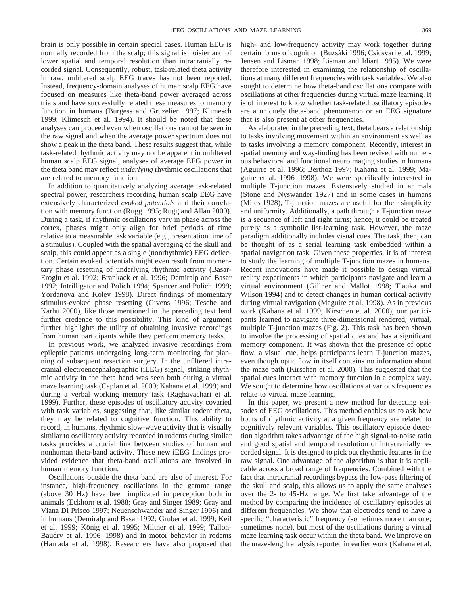brain is only possible in certain special cases. Human EEG is normally recorded from the scalp; this signal is noisier and of lower spatial and temporal resolution than intracranially recorded signal. Consequently, robust, task-related theta activity in raw, unfiltered scalp EEG traces has not been reported. Instead, frequency-domain analyses of human scalp EEG have focused on measures like theta-band power averaged across trials and have successfully related these measures to memory function in humans (Burgess and Gruzelier 1997; Klimesch 1999; Klimesch et al. 1994). It should be noted that these analyses can proceed even when oscillations cannot be seen in the raw signal and when the average power spectrum does not show a peak in the theta band. These results suggest that, while task-related rhythmic activity may not be apparent in unfiltered human scalp EEG signal, analyses of average EEG power in the theta band may reflect *underlying* rhythmic oscillations that are related to memory function.

In addition to quantitatively analyzing average task-related spectral power, researchers recording human scalp EEG have extensively characterized *evoked potentials* and their correlation with memory function (Rugg 1995; Rugg and Allan 2000). During a task, if rhythmic oscillations vary in phase across the cortex, phases might only align for brief periods of time relative to a measurable task variable (e.g., presentation time of a stimulus). Coupled with the spatial averaging of the skull and scalp, this could appear as a single (nonrhythmic) EEG deflection. Certain evoked potentials might even result from momentary phase resetting of underlying rhythmic activity (Basar-Eroglu et al. 1992; Brankack et al. 1996; Demiralp and Basar 1992; Intrilligator and Polich 1994; Spencer and Polich 1999; Yordanova and Kolev 1998). Direct findings of momentary stimulus-evoked phase resetting (Givens 1996; Tesche and Karhu 2000), like those mentioned in the preceding text lend further credence to this possibility. This kind of argument further highlights the utility of obtaining invasive recordings from human participants while they perform memory tasks.

In previous work, we analyzed invasive recordings from epileptic patients undergoing long-term monitoring for planning of subsequent resection surgery. In the unfiltered intracranial electroencephalographic (iEEG) signal, striking rhythmic activity in the theta band was seen both during a virtual maze learning task (Caplan et al. 2000; Kahana et al. 1999) and during a verbal working memory task (Raghavachari et al. 1999). Further, these episodes of oscillatory activity covaried with task variables, suggesting that, like similar rodent theta, they may be related to cognitive function. This ability to record, in humans, rhythmic slow-wave activity that is visually similar to oscillatory activity recorded in rodents during similar tasks provides a crucial link between studies of human and nonhuman theta-band activity. These new iEEG findings provided evidence that theta-band oscillations are involved in human memory function.

Oscillations outside the theta band are also of interest. For instance, high-frequency oscillations in the gamma range (above 30 Hz) have been implicated in perception both in animals (Eckhorn et al. 1988; Gray and Singer 1989; Gray and Viana Di Prisco 1997; Neuenschwander and Singer 1996) and in humans (Demiralp and Basar 1992; Gruber et al. 1999; Keil et al. 1999; König et al. 1995; Miltner et al. 1999; Tallon-Baudry et al. 1996–1998) and in motor behavior in rodents (Hamada et al. 1998). Researchers have also proposed that high- and low-frequency activity may work together during certain forms of cognition (Buzsáki 1996; Csicsvari et al. 1999; Jensen and Lisman 1998; Lisman and Idiart 1995). We were therefore interested in examining the relationship of oscillations at many different frequencies with task variables. We also sought to determine how theta-band oscillations compare with oscillations at other frequencies during virtual maze learning. It is of interest to know whether task-related oscillatory episodes are a uniquely theta-band phenomenon or an EEG signature that is also present at other frequencies.

As elaborated in the preceding text, theta bears a relationship to tasks involving movement within an environment as well as to tasks involving a memory component. Recently, interest in spatial memory and way-finding has been revived with numerous behavioral and functional neuroimaging studies in humans (Aguirre et al. 1996; Berthoz 1997; Kahana et al. 1999; Maguire et al. 1996–1998). We were specifically interested in multiple T-junction mazes. Extensively studied in animals (Stone and Nyswander 1927) and in some cases in humans (Miles 1928), T-junction mazes are useful for their simplicity and uniformity. Additionally, a path through a T-junction maze is a sequence of left and right turns; hence, it could be treated purely as a symbolic list-learning task. However, the maze paradigm additionally includes visual cues. The task, then, can be thought of as a serial learning task embedded within a spatial navigation task. Given these properties, it is of interest to study the learning of multiple T-junction mazes in humans. Recent innovations have made it possible to design virtual reality experiments in which participants navigate and learn a virtual environment (Gillner and Mallot 1998; Tlauka and Wilson 1994) and to detect changes in human cortical activity during virtual navigation (Maguire et al. 1998). As in previous work (Kahana et al. 1999; Kirschen et al. 2000), our participants learned to navigate three-dimensional rendered, virtual, multiple T-junction mazes (Fig. 2). This task has been shown to involve the processing of spatial cues and has a significant memory component. It was shown that the presence of optic flow, a visual cue, helps participants learn T-junction mazes, even though optic flow in itself contains no information about the maze path (Kirschen et al. 2000). This suggested that the spatial cues interact with memory function in a complex way. We sought to determine how oscillations at various frequencies relate to virtual maze learning.

In this paper, we present a new method for detecting episodes of EEG oscillations. This method enables us to ask how bouts of rhythmic activity at a given frequency are related to cognitively relevant variables. This oscillatory episode detection algorithm takes advantage of the high signal-to-noise ratio and good spatial and temporal resolution of intracranially recorded signal. It is designed to pick out rhythmic features in the raw signal. One advantage of the algorithm is that it is applicable across a broad range of frequencies. Combined with the fact that intracranial recordings bypass the low-pass filtering of the skull and scalp, this allows us to apply the same analyses over the 2- to 45-Hz range. We first take advantage of the method by comparing the incidence of oscillatory episodes at different frequencies. We show that electrodes tend to have a specific "characteristic" frequency (sometimes more than one; sometimes none), but most of the oscillations during a virtual maze learning task occur within the theta band. We improve on the maze-length analysis reported in earlier work (Kahana et al.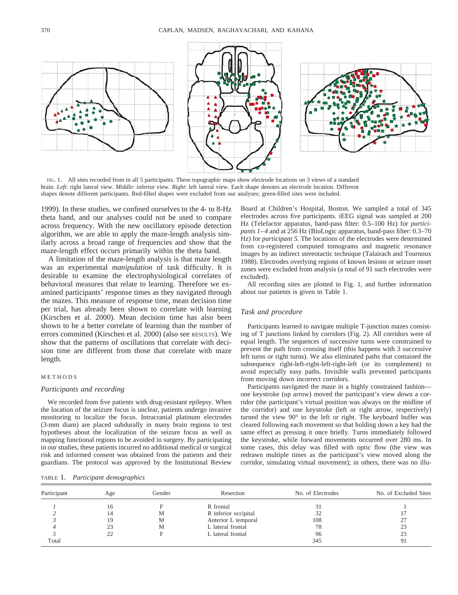





FIG. 1. All sites recorded from in all 5 participants. These topographic maps show electrode locations on 3 views of a standard brain. *Left*: right lateral view. *Middle*: inferior view. *Right*: left lateral view. Each shape denotes an electrode location. Different shapes denote different participants. Red-filled shapes were excluded from our analyses; green-filled sites were included.

1999). In these studies, we confined ourselves to the 4- to 8-Hz theta band, and our analyses could not be used to compare across frequency. With the new oscillatory episode detection algorithm, we are able to apply the maze-length analysis similarly across a broad range of frequencies and show that the maze-length effect occurs primarily within the theta band.

A limitation of the maze-length analysis is that maze length was an experimental *manipulation* of task difficulty. It is desirable to examine the electrophysiological correlates of behavioral measures that relate to learning. Therefore we examined participants' response times as they navigated through the mazes. This measure of response time, mean decision time per trial, has already been shown to correlate with learning (Kirschen et al. 2000). Mean decision time has also been shown to be a better correlate of learning than the number of errors committed (Kirschen et al. 2000) (also see RESULTS). We show that the patterns of oscillations that correlate with decision time are different from those that correlate with maze length.

## METHODS

# *Participants and recording*

We recorded from five patients with drug-resistant epilepsy. When the location of the seizure focus is unclear, patients undergo invasive monitoring to localize the focus. Intracranial platinum electrodes (3-mm diam) are placed subdurally in many brain regions to test hypotheses about the localization of the seizure focus as well as mapping functional regions to be avoided in surgery. By participating in our studies, these patients incurred no additional medical or surgical risk and informed consent was obtained from the patients and their guardians. The protocol was approved by the Institutional Review

TABLE 1. *Participant demographics*

Board at Children's Hospital, Boston. We sampled a total of 345 electrodes across five participants. iEEG signal was sampled at 200 Hz (Telefactor apparatus, band-pass filter: 0.5–100 Hz) for *participants 1–4* and at 256 Hz (BioLogic apparatus, band-pass filter: 0.3–70 Hz) for *participant 5.* The locations of the electrodes were determined from co-registered computed tomograms and magnetic resonance images by an indirect stereotactic technique (Talairach and Tournoux 1988). Electrodes overlying regions of known lesions or seizure onset zones were excluded from analysis (a total of 91 such electrodes were excluded).

All recording sites are plotted in Fig. 1, and further information about our patients is given in Table 1.

## *Task and procedure*

Participants learned to navigate multiple T-junction mazes consisting of T junctions linked by corridors (Fig. 2). All corridors were of equal length. The sequences of successive turns were constrained to prevent the path from crossing itself (this happens with 3 successive left turns or right turns). We also eliminated paths that contained the subsequence right-left-right-left-right-left (or its complement) to avoid especially easy paths. Invisible walls prevented participants from moving down incorrect corridors.

Participants navigated the maze in a highly constrained fashion one keystroke (up arrow) moved the participant's view down a corridor (the participant's virtual position was always on the midline of the corridor) and one keystroke (left or right arrow, respectively) turned the view 90° to the left or right. The keyboard buffer was cleared following each movement so that holding down a key had the same effect as pressing it once briefly. Turns immediately followed the keystroke, while forward movements occurred over 280 ms. In some cases, this delay was filled with optic flow (the view was redrawn multiple times as the participant's view moved along the corridor, simulating virtual movement); in others, there was no illu-

| Participant | Age | Gender | Resection            | No. of Electrodes | No. of Excluded Sites |
|-------------|-----|--------|----------------------|-------------------|-----------------------|
|             | 16  |        | R frontal            |                   |                       |
|             |     | M      | R inferior occipital | 32                |                       |
|             |     | M      | Anterior L temporal  | 108               | 27                    |
|             | 23  | M      | L lateral frontal    | 78                | 23                    |
|             | 22  |        | L lateral frontal    | 96                | 23                    |
| Total       |     |        |                      | 345               | 91                    |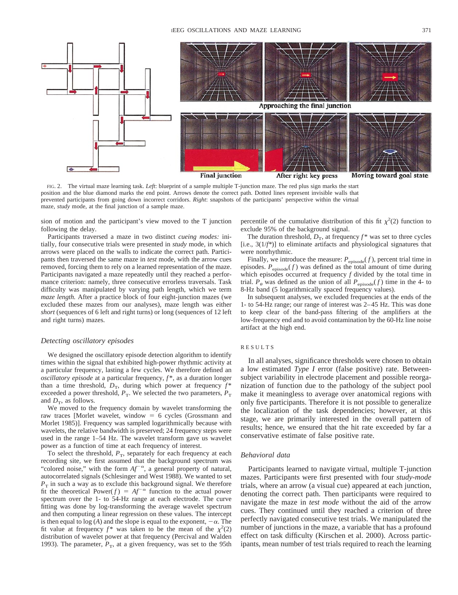

FIG. 2. The virtual maze learning task. *Left*: blueprint of a sample multiple T-junction maze. The red plus sign marks the start position and the blue diamond marks the end point. Arrows denote the correct path. Dotted lines represent invisible walls that prevented participants from going down incorrect corridors. *Right*: snapshots of the participants' perspective within the virtual maze, *study* mode, at the final junction of a sample maze.

sion of motion and the participant's view moved to the T junction following the delay.

Participants traversed a maze in two distinct *cueing modes:* initially, four consecutive trials were presented in *study* mode, in which arrows were placed on the walls to indicate the correct path. Participants then traversed the same maze in *test* mode, with the arrow cues removed, forcing them to rely on a learned representation of the maze. Participants navigated a maze repeatedly until they reached a performance criterion: namely, three consecutive errorless traversals. Task difficulty was manipulated by varying path length, which we term *maze length.* After a practice block of four eight-junction mazes (we excluded these mazes from our analyses), maze length was either *short* (sequences of 6 left and right turns) or long (sequences of 12 left and right turns) mazes.

## *Detecting oscillatory episodes*

We designed the oscillatory episode detection algorithm to identify times within the signal that exhibited high-power rhythmic activity at a particular frequency, lasting a few cycles. We therefore defined an *oscillatory episode* at a particular frequency, *f* \*, as a duration longer than a time threshold,  $D_T$ , during which power at frequency  $f^*$ exceeded a power threshold,  $P_T$ . We selected the two parameters,  $P_T$ and  $D_T$ , as follows.

We moved to the frequency domain by wavelet transforming the raw traces [Morlet wavelet, window  $= 6$  cycles (Grossmann and Morlet 1985)]. Frequency was sampled logarithmically because with wavelets, the relative bandwidth is preserved; 24 frequency steps were used in the range 1–54 Hz. The wavelet transform gave us wavelet power as a function of time at each frequency of interest.

To select the threshold,  $P<sub>T</sub>$ , separately for each frequency at each recording site, we first assumed that the background spectrum was "colored noise," with the form  $Af^{-\alpha}$ , a general property of natural, autocorrelated signals (Schlesinger and West 1988). We wanted to set  $P<sub>T</sub>$  in such a way as to exclude this background signal. We therefore fit the theoretical Power( $f$ ) =  $Af^{-\alpha}$  function to the actual power spectrum over the 1- to 54-Hz range at each electrode. The curve fitting was done by log-transforming the average wavelet spectrum and then computing a linear regression on these values. The intercept is then equal to log (A) and the slope is equal to the exponent,  $-\alpha$ . The fit value at frequency  $f^*$  was taken to be the mean of the  $\chi^2(2)$ distribution of wavelet power at that frequency (Percival and Walden 1993). The parameter,  $P_T$ , at a given frequency, was set to the 95th

percentile of the cumulative distribution of this fit  $\chi^2(2)$  function to exclude 95% of the background signal.

The duration threshold,  $D_T$ , at frequency  $f^*$  was set to three cycles [i.e., 3(1/*f\**)] to eliminate artifacts and physiological signatures that were nonrhythmic.

Finally, we introduce the measure:  $P_{\text{episode}}(f)$ , percent trial time in episodes.  $P_{\text{episode}}(f)$  was defined as the total amount of time during which episodes occurred at frequency *f* divided by the total time in trial.  $P_{\theta}$  was defined as the union of all  $P_{\text{episode}}(f)$  time in the 4- to 8-Hz band (5 logarithmically spaced frequency values).

In subsequent analyses, we excluded frequencies at the ends of the 1- to 54-Hz range; our range of interest was 2–45 Hz. This was done to keep clear of the band-pass filtering of the amplifiers at the low-frequency end and to avoid contamination by the 60-Hz line noise artifact at the high end.

#### RESULTS

In all analyses, significance thresholds were chosen to obtain a low estimated *Type I* error (false positive) rate. Betweensubject variability in electrode placement and possible reorganization of function due to the pathology of the subject pool make it meaningless to average over anatomical regions with only five participants. Therefore it is not possible to generalize the localization of the task dependencies; however, at this stage, we are primarily interested in the overall pattern of results; hence, we ensured that the hit rate exceeded by far a conservative estimate of false positive rate.

# *Behavioral data*

Participants learned to navigate virtual, multiple T-junction mazes. Participants were first presented with four *study-mode* trials, where an arrow (a visual cue) appeared at each junction, denoting the correct path. Then participants were required to navigate the maze in *test mode* without the aid of the arrow cues. They continued until they reached a criterion of three perfectly navigated consecutive test trials. We manipulated the number of junctions in the maze, a variable that has a profound effect on task difficulty (Kirschen et al. 2000). Across participants, mean number of test trials required to reach the learning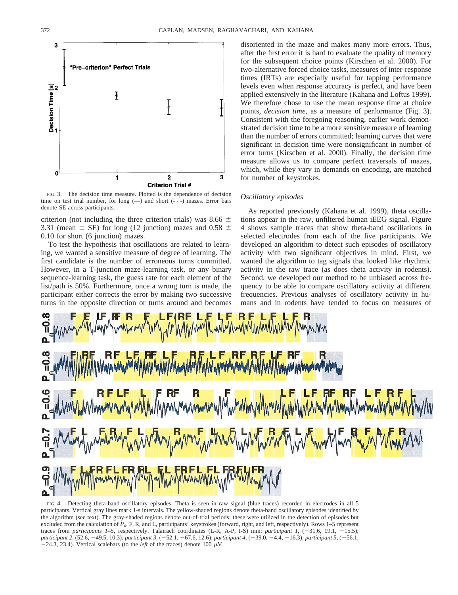

FIG. 3. The decision time measure. Plotted is the dependence of decision time on test trial number, for long  $(-)$  and short  $(--)$  mazes. Error bars denote SE across participants.

criterion (not including the three criterion trials) was 8.66  $\pm$ 3.31 (mean  $\pm$  SE) for long (12 junction) mazes and 0.58  $\pm$ 0.10 for short (6 junction) mazes.

To test the hypothesis that oscillations are related to learning, we wanted a sensitive measure of degree of learning. The first candidate is the number of erroneous turns committed. However, in a T-junction maze-learning task, or any binary sequence-learning task, the guess rate for each element of the list/path is 50%. Furthermore, once a wrong turn is made, the participant either corrects the error by making two successive turns in the opposite direction or turns around and becomes

disoriented in the maze and makes many more errors. Thus, after the first error it is hard to evaluate the quality of memory for the subsequent choice points (Kirschen et al. 2000). For two-alternative forced choice tasks, measures of inter-response times (IRTs) are especially useful for tapping performance levels even when response accuracy is perfect, and have been applied extensively in the literature (Kahana and Loftus 1999). We therefore chose to use the mean response time at choice points, *decision time*, as a measure of performance (Fig. 3). Consistent with the foregoing reasoning, earlier work demonstrated decision time to be a more sensitive measure of learning than the number of errors committed; learning curves that were significant in decision time were nonsignificant in number of error turns (Kirschen et al. 2000). Finally, the decision time measure allows us to compare perfect traversals of mazes, which, while they vary in demands on encoding, are matched for number of keystrokes.

## *Oscillatory episodes*

As reported previously (Kahana et al. 1999), theta oscillations appear in the raw, unfiltered human iEEG signal. Figure 4 shows sample traces that show theta-band oscillations in selected electrodes from each of the five participants. We developed an algorithm to detect such episodes of oscillatory activity with two significant objectives in mind. First, we wanted the algorithm to tag signals that looked like rhythmic activity in the raw trace (as does theta activity in rodents). Second, we developed our method to be unbiased across frequency to be able to compare oscillatory activity at different frequencies. Previous analyses of oscillatory activity in humans and in rodents have tended to focus on measures of



FIG. 4. Detecting theta-band oscillatory episodes. Theta is seen in raw signal (blue traces) recorded in electrodes in all 5 participants. Vertical gray lines mark 1-s intervals. The yellow-shaded regions denote theta-band oscillatory episodes identified by the algorithm (see text). The gray-shaded regions denote out-of-trial periods; these were utilized in the detection of episodes but excluded from the calculation of *P*<sub>0</sub>. F, R, and L, participants' keystrokes (forward, right, and left, respectively). Rows 1–5 represent traces from *participants 1–5*, respectively. Talairach coordinates (L-R, A-P, I-S) mm: *participant 1*, (-31.6, 19.1, -15.5); *participant 2,* (52.6, -49.5, 10.3); *participant 3,* (-52.1, -67.6, 12.6); *participant 4*, (-39.0, -4.4, -16.3); *participant 5*, (-56.1,  $-24.3$ , 23.4). Vertical scalebars (to the *left* of the traces) denote 100  $\mu$ V.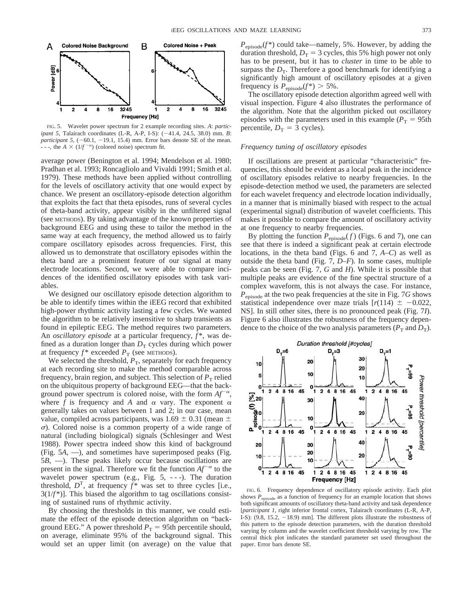

FIG. 5. Wavelet power spectrum for 2 example recording sites. *A*: *participant 5*, Talairach coordinates (L-R, A-P, I-S): (-41.4, 24.5, 38.0) mm. *B*: *participant 5*,  $(-60.1, -19.1, 15.4)$  mm. Error bars denote SE of the mean. - - -, the  $A \times (1/f^{-\alpha})$  (colored noise) spectrum fit.

average power (Benington et al. 1994; Mendelson et al. 1980; Pradhan et al. 1993; Roncagliolo and Vivaldi 1991; Smith et al. 1979). These methods have been applied without controlling for the levels of oscillatory activity that one would expect by chance. We present an oscillatory-episode detection algorithm that exploits the fact that theta episodes, runs of several cycles of theta-band activity, appear visibly in the unfiltered signal (see METHODS). By taking advantage of the known properties of background EEG and using these to tailor the method in the same way at each frequency, the method allowed us to fairly compare oscillatory episodes across frequencies. First, this allowed us to demonstrate that oscillatory episodes within the theta band are a prominent feature of our signal at many electrode locations. Second, we were able to compare incidences of the identified oscillatory episodes with task variables.

We designed our oscillatory episode detection algorithm to be able to identify times within the iEEG record that exhibited high-power rhythmic activity lasting a few cycles. We wanted the algorithm to be relatively insensitive to sharp transients as found in epileptic EEG. The method requires two parameters. An *oscillatory episode* at a particular frequency,  $f^*$ , was defined as a duration longer than  $D<sub>T</sub>$  cycles during which power at frequency  $f^*$  exceeded  $P_T$  (see METHODS).

We selected the threshold,  $P<sub>T</sub>$ , separately for each frequency at each recording site to make the method comparable across frequency, brain region, and subject. This selection of  $P<sub>T</sub>$  relied on the ubiquitous property of background EEG—that the background power spectrum is colored noise, with the form  $Af^{-\alpha}$ , where *f* is frequency and *A* and  $\alpha$  vary. The exponent  $\alpha$ generally takes on values between 1 and 2; in our case, mean value, compiled across participants, was  $1.69 \pm 0.31$  (mean  $\pm$  $\sigma$ ). Colored noise is a common property of a wide range of natural (including biological) signals (Schlesinger and West 1988). Power spectra indeed show this kind of background (Fig. 5*A,* —), and sometimes have superimposed peaks (Fig. 5*B,* —). These peaks likely occur because oscillations are present in the signal. Therefore we fit the function  $Af^{-\alpha}$  to the wavelet power spectrum (e.g., Fig. 5, ---). The duration threshold,  $D^T$ , at frequency  $f^*$  was set to three cycles [i.e.,  $3(1/f^*)$ ]. This biased the algorithm to tag oscillations consisting of sustained runs of rhythmic activity.

By choosing the thresholds in this manner, we could estimate the effect of the episode detection algorithm on "background EEG." A power threshold  $P_T = 95$ th percentile should, on average, eliminate 95% of the background signal. This would set an upper limit (on average) on the value that  $P_{\text{episode}}(f^*)$  could take—namely, 5%. However, by adding the duration threshold,  $D_T = 3$  cycles, this 5% high power not only has to be present, but it has to *cluster* in time to be able to surpass the  $D<sub>T</sub>$ . Therefore a good benchmark for identifying a significantly high amount of oscillatory episodes at a given frequency is  $P_{\text{episode}}(f^*) > 5\%$ .

The oscillatory episode detection algorithm agreed well with visual inspection. Figure 4 also illustrates the performance of the algorithm. Note that the algorithm picked out oscillatory episodes with the parameters used in this example ( $P_T = 95$ th percentile,  $D_T = 3$  cycles).

# *Frequency tuning of oscillatory episodes*

If oscillations are present at particular "characteristic" frequencies, this should be evident as a local peak in the incidence of oscillatory episodes relative to nearby frequencies. In the episode-detection method we used, the parameters are selected for each wavelet frequency and electrode location individually, in a manner that is minimally biased with respect to the actual (experimental signal) distribution of wavelet coefficients. This makes it possible to compare the amount of oscillatory activity at one frequency to nearby frequencies.

By plotting the function  $P_{\text{episode}}(f)$  (Figs. 6 and 7), one can see that there is indeed a significant peak at certain electrode locations, in the theta band (Figs. 6 and 7, *A–C*) as well as outside the theta band (Fig. 7, *D–F*). In some cases, multiple peaks can be seen (Fig. 7, *G* and *H*). While it is possible that multiple peaks are evidence of the fine spectral structure of a complex waveform, this is not always the case. For instance, *P*episode at the two peak frequencies at the site in Fig. 7*G* shows statistical independence over maze trials  $[r(114) \pm -0.022]$ , NS]. In still other sites, there is no pronounced peak (Fig. 7*I*). Figure 6 also illustrates the robustness of the frequency dependence to the choice of the two analysis parameters  $(P<sub>T</sub>$  and  $D<sub>T</sub>)$ .



FIG. 6. Frequency dependence of oscillatory episode activity. Each plot shows  $P_{\text{enisode}}$  as a function of frequency for an example location that shows both significant amounts of oscillatory theta-band activity and task dependence [*participant 1*, right inferior frontal cortex, Talairach coordinates (L-R, A-P, I-S):  $(9.8, 15.2, -18.9)$  mm]. The different plots illustrate the robustness of this pattern to the episode detection parameters, with the duration threshold varying by column and the wavelet coefficient threshold varying by row. The central thick plot indicates the standard parameter set used throughout the paper. Error bars denote SE.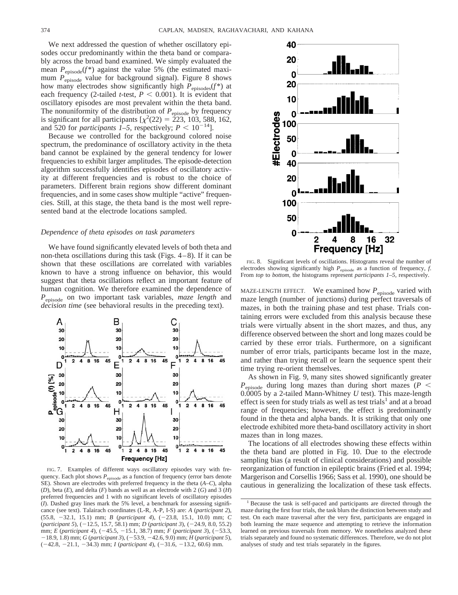We next addressed the question of whether oscillatory episodes occur predominantly within the theta band or comparably across the broad band examined. We simply evaluated the mean  $P_{\text{episode}}(f^*)$  against the value 5% (the estimated maximum  $P_{\text{enisode}}$  value for background signal). Figure 8 shows how many electrodes show significantly high  $P_{\text{episodes}}(f^*)$  at each frequency (2-tailed *t*-test,  $P \leq 0.001$ ). It is evident that oscillatory episodes are most prevalent within the theta band. The nonuniformity of the distribution of  $P_{\text{episode}}$  by frequency is significant for all participants  $[\chi^2(22) = 223, 103, 588, 162,$ and 520 for *participants 1–5*, respectively;  $P < 10^{-14}$ .

Because we controlled for the background colored noise spectrum, the predominance of oscillatory activity in the theta band cannot be explained by the general tendency for lower frequencies to exhibit larger amplitudes. The episode-detection algorithm successfully identifies episodes of oscillatory activity at different frequencies and is robust to the choice of parameters. Different brain regions show different dominant frequencies, and in some cases show multiple "active" frequencies. Still, at this stage, the theta band is the most well represented band at the electrode locations sampled.

## *Dependence of theta episodes on task parameters*

We have found significantly elevated levels of both theta and non-theta oscillations during this task (Figs. 4–8). If it can be shown that these oscillations are correlated with variables known to have a strong influence on behavior, this would suggest that theta oscillations reflect an important feature of human cognition. We therefore examined the dependence of *P*episode on two important task variables, *maze length* and *decision time* (see behavioral results in the preceding text).



FIG. 7. Examples of different ways oscillatory episodes vary with frequency. Each plot shows  $P_{\text{episode}}$  as a function of frequency (error bars denote SE). Shown are electrodes with preferred frequency in the theta (*A–C*), alpha (*D*), beta (*E*), and delta (*F*) bands as well as an electrode with 2 (*G*) and 3 (*H*) preferred frequencies and 1 with no significant levels of oscillatory episodes (*I*). Dashed gray lines mark the 5% level, a benchmark for assessing significance (see text). Talairach coordinates (L-R, A-P, I-S) are: *A* (*participant 2*), (55.8, 232.1, 15.1) mm; *B* (*participant 4*), (223.8, 15.1, 10.0) mm; *C* (*participant 5*), (212.5, 15.7, 58.1) mm; *D* (*participant 3*), (224.9, 8.0, 55.2) mm; *E* (*participant 4*), (-45.5, -15.1, 38.7) mm; *F* (*participant 3*), (-53.3, 218.9, 1.8) mm; *G* (*participant 3*), (253.9, 242.6, 9.0) mm; *H* (*participant 5*), (242.8, 221.1, 234.3) mm; *I* (*participant 4*), (231.6, 213.2, 60.6) mm.



FIG. 8. Significant levels of oscillations. Histograms reveal the number of electrodes showing significantly high  $P_{\text{episode}}$  as a function of frequency, *f*. From *top* to *bottom*, the histograms represent *participants 1–5,* respectively.

MAZE-LENGTH EFFECT. We examined how  $P_{\text{episode}}$  varied with maze length (number of junctions) during perfect traversals of mazes, in both the training phase and test phase. Trials containing errors were excluded from this analysis because these trials were virtually absent in the short mazes, and thus, any difference observed between the short and long mazes could be carried by these error trials. Furthermore, on a significant number of error trials, participants became lost in the maze, and rather than trying recall or learn the sequence spent their time trying re-orient themselves.

As shown in Fig. 9, many sites showed significantly greater  $P_{\text{episode}}$  during long mazes than during short mazes ( $P$  < 0.0005 by a 2-tailed Mann-Whitney *U* test). This maze-length effect is seen for study trials as well as test trials<sup>1</sup> and at a broad range of frequencies; however, the effect is predominantly found in the theta and alpha bands. It is striking that only one electrode exhibited more theta-band oscillatory activity in short mazes than in long mazes.

The locations of all electrodes showing these effects within the theta band are plotted in Fig. 10. Due to the electrode sampling bias (a result of clinical considerations) and possible reorganization of function in epileptic brains (Fried et al. 1994; Margerison and Corsellis 1966; Sass et al. 1990), one should be cautious in generalizing the localization of these task effects.

<sup>&</sup>lt;sup>1</sup> Because the task is self-paced and participants are directed through the maze during the first four trials, the task blurs the distinction between study and test. On each maze traversal after the very first, participants are engaged in both learning the maze sequence and attempting to retrieve the information learned on previous traversals from memory. We nonetheless analyzed these trials separately and found no systematic differences. Therefore, we do not plot analyses of study and test trials separately in the figures.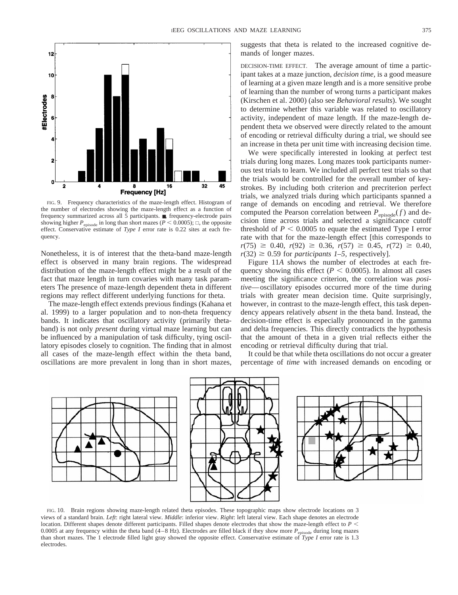

FIG. 9. Frequency characteristics of the maze-length effect. Histogram of the number of electrodes showing the maze-length effect as a function of frequency summarized across all 5 participants. ■, frequency-electrode pairs showing higher  $P_{\text{enisode}}$  in long than short mazes ( $P < 0.0005$ );  $\Box$ , the opposite effect. Conservative estimate of *Type I* error rate is 0.22 sites at each frequency.

Nonetheless, it is of interest that the theta-band maze-length effect is observed in many brain regions. The widespread distribution of the maze-length effect might be a result of the fact that maze length in turn covaries with many task parameters The presence of maze-length dependent theta in different regions may reflect different underlying functions for theta.

The maze-length effect extends previous findings (Kahana et al. 1999) to a larger population and to non-theta frequency bands. It indicates that oscillatory activity (primarily thetaband) is not only *present* during virtual maze learning but can be influenced by a manipulation of task difficulty, tying oscillatory episodes closely to cognition. The finding that in almost all cases of the maze-length effect within the theta band, oscillations are more prevalent in long than in short mazes,

suggests that theta is related to the increased cognitive demands of longer mazes.

DECISION-TIME EFFECT. The average amount of time a participant takes at a maze junction, *decision time,* is a good measure of learning at a given maze length and is a more sensitive probe of learning than the number of wrong turns a participant makes (Kirschen et al. 2000) (also see *Behavioral results*). We sought to determine whether this variable was related to oscillatory activity, independent of maze length. If the maze-length dependent theta we observed were directly related to the amount of encoding or retrieval difficulty during a trial, we should see an increase in theta per unit time with increasing decision time.

We were specifically interested in looking at perfect test trials during long mazes. Long mazes took participants numerous test trials to learn. We included all perfect test trials so that the trials would be controlled for the overall number of keystrokes. By including both criterion and precriterion perfect trials, we analyzed trials during which participants spanned a range of demands on encoding and retrieval. We therefore computed the Pearson correlation between  $P_{\text{episode}}(f)$  and decision time across trials and selected a significance cutoff threshold of  $P < 0.0005$  to equate the estimated Type I error rate with that for the maze-length effect [this corresponds to  $r(75) \ge 0.40$ ,  $r(92) \ge 0.36$ ,  $r(57) \ge 0.45$ ,  $r(72) \ge 0.40$ ,  $r(32) \ge 0.59$  for *participants 1–5*, respectively].

Figure 11*A* shows the number of electrodes at each frequency showing this effect ( $P < 0.0005$ ). In almost all cases meeting the significance criterion, the correlation was *positive*—oscillatory episodes occurred more of the time during trials with greater mean decision time. Quite surprisingly, however, in contrast to the maze-length effect, this task dependency appears relatively *absent* in the theta band. Instead, the decision-time effect is especially pronounced in the gamma and delta frequencies. This directly contradicts the hypothesis that the amount of theta in a given trial reflects either the encoding or retrieval difficulty during that trial.

It could be that while theta oscillations do not occur a greater percentage of *time* with increased demands on encoding or



FIG. 10. Brain regions showing maze-length related theta episodes. These topographic maps show electrode locations on 3 views of a standard brain. *Left*: right lateral view. *Middle*: inferior view. *Right*: left lateral view. Each shape denotes an electrode location. Different shapes denote different participants. Filled shapes denote electrodes that show the maze-length effect to  $P \leq$ 0.0005 at any frequency within the theta band  $(4-8 \text{ Hz})$ . Electrodes are filled black if they show more  $P_{\text{enisode}}$  during long mazes than short mazes. The 1 electrode filled light gray showed the opposite effect. Conservative estimate of *Type I* error rate is 1.3 electrodes.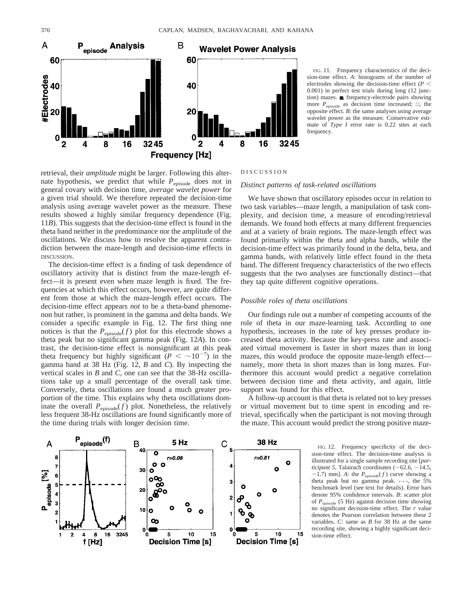

FIG. 11. Frequency characteristics of the decision-time effect. *A*: histograms of the number of electrodes showing the decision-time effect ( $P$  < 0.001) in perfect test trials during long (12 junction) mazes. ■, frequency-electrode pairs showing more  $P_{\text{episode}}$  as decision time increased;  $\Box$ , the opposite effect. *B*: the same analyses using average wavelet power as the measure. Conservative estimate of *Type I* error rate is 0.22 sites at each frequency.

retrieval, their *amplitude* might be larger. Following this alternate hypothesis, we predict that while  $P_{\text{episode}}$  does not in general covary with decision time, *average wavelet power* for a given trial should. We therefore repeated the decision-time analysis using average wavelet power as the measure. These results showed a highly similar frequency dependence (Fig. 11*B*). This suggests that the decision-time effect is found in the theta band neither in the predominance nor the amplitude of the oscillations. We discuss how to resolve the apparent contradiction between the maze-length and decision-time effects in DISCUSSION.

The decision-time effect is a finding of task dependence of oscillatory activity that is distinct from the maze-length effect—it is present even when maze length is fixed. The frequencies at which this effect occurs, however, are quite different from those at which the maze-length effect occurs. The decision-time effect appears *not* to be a theta-band phenomenon but rather, is prominent in the gamma and delta bands. We consider a specific example in Fig. 12. The first thing one notices is that the  $P_{\text{episode}}(f)$  plot for this electrode shows a theta peak but no significant gamma peak (Fig. 12*A*). In contrast, the decision-time effect is nonsignificant at this peak theta frequency but highly significant  $(P < -10^{-7})$  in the gamma band at 38 Hz (Fig. 12, *B* and *C*). By inspecting the vertical scales in *B* and *C,* one can see that the 38-Hz oscillations take up a small percentage of the overall task time. Conversely, theta oscillations are found a much greater proportion of the time. This explains why theta oscillations dominate the overall  $P_{\text{episode}}(f)$  plot. Nonetheless, the relatively less frequent 38-Hz oscillations are found significantly more of the time during trials with longer decision time.

#### DISCUSSION

#### *Distinct patterns of task-related oscillations*

We have shown that oscillatory episodes occur in relation to two task variables—maze length, a manipulation of task complexity, and decision time, a measure of encoding/retrieval demands. We found both effects at many different frequencies and at a variety of brain regions. The maze-length effect was found primarily within the theta and alpha bands, while the decision-time effect was primarily found in the delta, beta, and gamma bands, with relatively little effect found in the theta band. The different frequency characteristics of the two effects suggests that the two analyses are functionally distinct—that they tap quite different cognitive operations.

## *Possible roles of theta oscillations*

Our findings rule out a number of competing accounts of the role of theta in our maze-learning task. According to one hypothesis, increases in the rate of key presses produce increased theta activity. Because the key-press rate and associated virtual movement is faster in short mazes than in long mazes, this would produce the opposite maze-length effect namely, more theta in short mazes than in long mazes. Furthermore this account would predict a negative correlation between decision time and theta activity, and again, little support was found for this effect.

A follow-up account is that theta is related not to key presses or virtual movement but to time spent in encoding and retrieval, specifically when the participant is not moving through the maze. This account would predict the strong positive maze-



FIG. 12. Frequency specificity of the decision-time effect. The decision-time analysis is illustrated for a single sample recording site [*participant 5,* Talairach coordinates  $(-62.6, -14.5,$  $-1.7$ ) mm]. *A*: the  $P_{\text{episode}}(f)$  curve showing a theta peak but no gamma peak. - - -, the 5% benchmark level (see text for details). Error bars denote 95% confidence intervals. *B*: scatter plot of *P*episode (5 Hz) against decision time showing no significant decision-time effect. The *r* value denotes the Pearson correlation between these 2 variables. *C*: same as *B* for 38 Hz at the same recording site, showing a highly significant decision-time effect.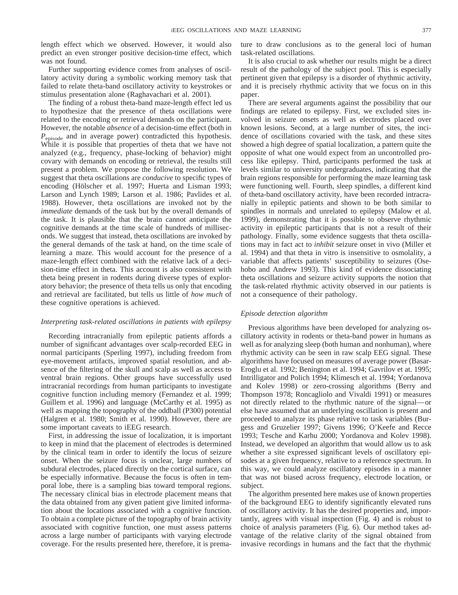length effect which we observed. However, it would also predict an even stronger positive decision-time effect, which was not found.

Further supporting evidence comes from analyses of oscillatory activity during a symbolic working memory task that failed to relate theta-band oscillatory activity to keystrokes or stimulus presentation alone (Raghavachari et al. 2001).

The finding of a robust theta-band maze-length effect led us to hypothesize that the presence of theta oscillations were related to the encoding or retrieval demands on the participant. However, the notable *absence* of a decision-time effect (both in *P*episode and in average power) contradicted this hypothesis. While it is possible that properties of theta that we have not analyzed (e.g., frequency, phase-locking of behavior) might covary with demands on encoding or retrieval, the results still present a problem. We propose the following resolution. We suggest that theta oscillations are *conducive* to specific types of encoding (Hölscher et al. 1997; Huerta and Lisman 1993; Larson and Lynch 1989; Larson et al. 1986; Pavlides et al. 1988). However, theta oscillations are invoked not by the *immediate* demands of the task but by the overall demands of the task. It is plausible that the brain cannot anticipate the cognitive demands at the time scale of hundreds of milliseconds. We suggest that instead, theta oscillations are invoked by the general demands of the task at hand, on the time scale of learning a maze. This would account for the presence of a maze-length effect combined with the relative lack of a decision-time effect in theta. This account is also consistent with theta being present in rodents during diverse types of exploratory behavior; the presence of theta tells us only that encoding and retrieval are facilitated, but tells us little of *how much* of these cognitive operations is achieved.

#### *Interpreting task-related oscillations in patients with epilepsy*

Recording intracranially from epileptic patients affords a number of significant advantages over scalp-recorded EEG in normal participants (Sperling 1997), including freedom from eye-movement artifacts, improved spatial resolution, and absence of the filtering of the skull and scalp as well as access to ventral brain regions. Other groups have successfully used intracranial recordings from human participants to investigate cognitive function including memory (Fernandez et al. 1999; Guillem et al. 1996) and language (McCarthy et al. 1995) as well as mapping the topography of the oddball (P300) potential (Halgren et al. 1980; Smith et al. 1990). However, there are some important caveats to iEEG research.

First, in addressing the issue of localization, it is important to keep in mind that the placement of electrodes is determined by the clinical team in order to identify the locus of seizure onset. When the seizure focus is unclear, large numbers of subdural electrodes, placed directly on the cortical surface, can be especially informative. Because the focus is often in temporal lobe, there is a sampling bias toward temporal regions. The necessary clinical bias in electrode placement means that the data obtained from any given patient give limited information about the locations associated with a cognitive function. To obtain a complete picture of the topography of brain activity associated with cognitive function, one must assess patterns across a large number of participants with varying electrode coverage. For the results presented here, therefore, it is premature to draw conclusions as to the general loci of human task-related oscillations.

It is also crucial to ask whether our results might be a direct result of the pathology of the subject pool. This is especially pertinent given that epilepsy is a disorder of rhythmic activity, and it is precisely rhythmic activity that we focus on in this paper.

There are several arguments against the possibility that our findings are related to epilepsy. First, we excluded sites involved in seizure onsets as well as electrodes placed over known lesions. Second, at a large number of sites, the incidence of oscillations covaried with the task, and these sites showed a high degree of spatial localization, a pattern quite the opposite of what one would expect from an uncontrolled process like epilepsy. Third, participants performed the task at levels similar to university undergraduates, indicating that the brain regions responsible for performing the maze learning task were functioning well. Fourth, sleep spindles, a different kind of theta-band oscillatory activity, have been recorded intracranially in epileptic patients and shown to be both similar to spindles in normals and unrelated to epilepsy (Malow et al. 1999), demonstrating that it is possible to observe rhythmic activity in epileptic participants that is not a result of their pathology. Finally, some evidence suggests that theta oscillations may in fact act to *inhibit* seizure onset in vivo (Miller et al. 1994) and that theta in vitro is insensitive to osmolality, a variable that affects patients' susceptibility to seizures (Osehobo and Andrew 1993). This kind of evidence dissociating theta oscillations and seizure activity supports the notion that the task-related rhythmic activity observed in our patients is not a consequence of their pathology.

## *Episode detection algorithm*

Previous algorithms have been developed for analyzing oscillatory activity in rodents or theta-band power in humans as well as for analyzing sleep (both human and nonhuman), where rhythmic activity can be seen in raw scalp EEG signal. These algorithms have focused on measures of average power (Basar-Eroglu et al. 1992; Benington et al. 1994; Gavrilov et at. 1995; Intrilligator and Polich 1994; Klimesch et al. 1994; Yordanova and Kolev 1998) or zero-crossing algorithms (Berry and Thompson 1978; Roncagliolo and Vivaldi 1991) or measures not directly related to the rhythmic nature of the signal—or else have assumed that an underlying oscillation is present and proceeded to analyze its phase relative to task variables (Burgess and Gruzelier 1997; Givens 1996; O'Keefe and Recce 1993; Tesche and Karhu 2000; Yordanova and Kolev 1998). Instead, we developed an algorithm that would allow us to ask whether a site expressed significant levels of oscillatory episodes at a given frequency, relative to a reference spectrum. In this way, we could analyze oscillatory episodes in a manner that was not biased across frequency, electrode location, or subject.

The algorithm presented here makes use of known properties of the background EEG to identify significantly elevated runs of oscillatory activity. It has the desired properties and, importantly, agrees with visual inspection (Fig. 4) and is robust to choice of analysis parameters (Fig. 6). Our method takes advantage of the relative clarity of the signal obtained from invasive recordings in humans and the fact that the rhythmic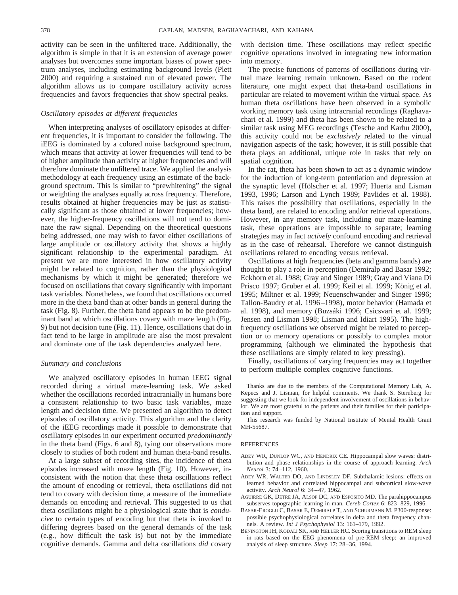## *Oscillatory episodes at different frequencies*

When interpreting analyses of oscillatory episodes at different frequencies, it is important to consider the following. The iEEG is dominated by a colored noise background spectrum, which means that activity at lower frequencies will tend to be of higher amplitude than activity at higher frequencies and will therefore dominate the unfiltered trace. We applied the analysis methodology at each frequency using an estimate of the background spectrum. This is similar to "prewhitening" the signal or weighting the analyses equally across frequency. Therefore, results obtained at higher frequencies may be just as statistically significant as those obtained at lower frequencies; however, the higher-frequency oscillations will not tend to dominate the raw signal. Depending on the theoretical questions being addressed, one may wish to favor either oscillations of large amplitude or oscillatory activity that shows a highly significant relationship to the experimental paradigm. At present we are more interested in how oscillatory activity might be related to cognition, rather than the physiological mechanisms by which it might be generated; therefore we focused on oscillations that covary significantly with important task variables. Nonetheless, we found that oscillations occurred more in the theta band than at other bands in general during the task (Fig. 8). Further, the theta band appears to be the predominant band at which oscillations covary with maze length (Fig. 9) but not decision tune (Fig. 11). Hence, oscillations that do in fact tend to be large in amplitude are also the most prevalent and dominate one of the task dependencies analyzed here.

# *Summary and conclusions*

We analyzed oscillatory episodes in human iEEG signal recorded during a virtual maze-learning task. We asked whether the oscillations recorded intracranially in humans bore a consistent relationship to two basic task variables, maze length and decision time. We presented an algorithm to detect episodes of oscillatory activity. This algorithm and the clarity of the iEEG recordings made it possible to demonstrate that oscillatory episodes in our experiment occurred *predominantly* in the theta band (Figs. 6 and 8), tying our observations more closely to studies of both rodent and human theta-band results.

At a large subset of recording sites, the incidence of theta episodes increased with maze length (Fig. 10). However, inconsistent with the notion that these theta oscillations reflect the amount of encoding or retrieval, theta oscillations did not tend to covary with decision time, a measure of the immediate demands on encoding and retrieval. This suggested to us that theta oscillations might be a physiological state that is *conducive* to certain types of encoding but that theta is invoked to differing degrees based on the general demands of the task (e.g., how difficult the task is) but not by the immediate cognitive demands. Gamma and delta oscillations *did* covary with decision time. These oscillations may reflect specific cognitive operations involved in integrating new information into memory.

The precise functions of patterns of oscillations during virtual maze learning remain unknown. Based on the rodent literature, one might expect that theta-band oscillations in particular are related to movement within the virtual space. As human theta oscillations have been observed in a symbolic working memory task using intracranial recordings (Raghavachari et al. 1999) and theta has been shown to be related to a similar task using MEG recordings (Tesche and Karhu 2000), this activity could not be *exclusively* related to the virtual navigation aspects of the task; however, it is still possible that theta plays an additional, unique role in tasks that rely on spatial cognition.

In the rat, theta has been shown to act as a dynamic window for the induction of long-term potentiation and depression at the synaptic level (Hölscher et al. 1997; Huerta and Lisman 1993, 1996; Larson and Lynch 1989; Pavlides et al. 1988). This raises the possibility that oscillations, especially in the theta band, are related to encoding and/or retrieval operations. However, in any memory task, including our maze-learning task, these operations are impossible to separate; learning strategies may in fact *actively* confound encoding and retrieval as in the case of rehearsal. Therefore we cannot distinguish oscillations related to encoding versus retrieval.

Oscillations at high frequencies (beta and gamma bands) are thought to play a role in perception (Demiralp and Basar 1992; Eckhorn et al. 1988; Gray and Singer 1989; Gray and Viana Di Prisco 1997; Gruber et al. 1999; Keil et al. 1999; König et al. 1995; Miltner et al. 1999; Neuenschwander and Singer 1996; Tallon-Baudry et al. 1996–1998), motor behavior (Hamada et al. 1998), and memory (Buzsáki 1996; Csicsvari et al. 1999; Jensen and Lisman 1998; Lisman and Idiart 1995). The highfrequency oscillations we observed might be related to perception or to memory operations or possibly to complex motor programming (although we eliminated the hypothesis that these oscillations are simply related to key pressing).

Finally, oscillations of varying frequencies may act together to perform multiple complex cognitive functions.

Thanks are due to the members of the Computational Memory Lab, A. Kepecs and J. Lisman, for helpful comments. We thank S. Sternberg for suggesting that we look for independent involvement of oscillations in behavior. We are most grateful to the patients and their families for their participation and support.

This research was funded by National Institute of Mental Health Grant MH-55687.

#### REFERENCES

- ADEY WR, DUNLOP WC, AND HENDRIX CE. Hippocampal slow waves: distribution and phase relationships in the course of approach learning. *Arch Neurol* 3: 74–112, 1960.
- ADEY WR, WALTER DO, AND LINDSLEY DF. Subthalamic lesions: effects on learned behavior and correlated hippocampal and subcortical slow-wave activity. *Arch Neurol* 6: 34–47, 1962.
- AGUIRRE GK, DETRE JA, ALSOP DC, AND ESPOSITO MD. The parahippocampus subserves topographic learning in man. *Cereb Cortex* 6: 823–829, 1996.
- BASAR-EROGLU C, BASAR E, DEMIRALP T, AND SCHURMANN M. P300-response: possible psychophysiological correlates in delta and theta frequency channels. A review. *Int J Psychophysiol* 13: 161–179, 1992.
- BENINGTON JH, KODALI SK, AND HELLER HC. Scoring transitions to REM sleep in rats based on the EEG phenomena of pre-REM sleep: an improved analysis of sleep structure. *Sleep* 17: 28–36, 1994.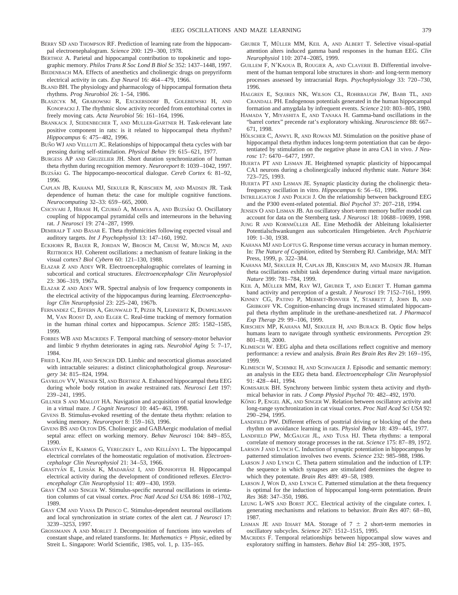- BERRY SD AND THOMPSON RF. Prediction of learning rate from the hippocampal electroenephalogram. *Science* 200: 129–300, 1978.
- BERTHOZ A. Parietal and hippocampal contribution to topokinetic and topographic memory. *Philos Trans R Soc Lond B Biol Sc* 352: 1437–1448, 1997.
- BIEDENBACH MA. Effects of anesthetics and cholinergic drugs on prepyriform electrical activity in cats. *Exp Neurol* 16: 464–479, 1966.
- BLAND BH. The physiology and pharmacology of hippocampal formation theta rhythms. *Prog Neurobiol* 26: 1–54, 1986.
- BLASZCYK M, GRABOWSKI R, EXCKERSDORF B, GOLEBIEWSKI H, AND KONOPACKI J. The rhythmic slow activity recorded from entorhinal cortex in freely moving cats. *Acta Neurobiol* 56: 161–164, 1996.
- BRANKACK J, SEIDENBECHER T, AND MULLER-GARTNER H. Task-relevant late positive component in rats: is it related to hippocampal theta rhythm? *Hippocampus* 6: 475–482, 1996.
- BUÑO WJ AND VELLUTI JC. Relationships of hippocampal theta cycles with bar pressing during self-stimulation. *Physical Behav* 19: 615–621, 1977.
- BURGESS AP AND GRUZELIER JH. Short duration synchronization of human theta rhythm during recognition memory. *Neuroreport* 8: 1039–1042, 1997.
- BUZSÁKI G. The hippocampo-neocortical dialogue. *Cereb Cortex* 6: 81-92, 1996.
- CAPLAN JB, KAHANA MJ, SEKULER R, KIRSCHEN M, AND MADSEN JR. Task dependence of human theta: the case for multiple cognitive functions. *Neurocomputing* 32–33: 659–665, 2000.
- CSICSVARI J, HIRASE H, CZURKÓ A, MAMIYA A, AND BUZSÁKI O. Oscillatory coupling of hippocampal pyramidal cells and interneurons in the behaving rat. *J Neurosci* 19: 274–287, 1999.
- DEMIRALP T AND BASAR E. Theta rhythmicities following expected visual and auditory targets. *Int J Psychophysiol* 13: 147–160, 1992.
- ECKHORN R, BAUER R, JORDAN W, BROSCH M, CRUSE W, MUNCH M, AND REITBOECK HJ. Coherent oscillations: a mechanism of feature linking in the visual cortex? *Biol Cybern* 60: 121–130, 1988.
- ELAZAR Z AND ADEY WR. Electroencephalographic correlates of learning in subcortical and cortical structures. *Electroencephalogr Clin Neurophysiol* 23: 306–319, 1967a.
- ELAZAR Z AND ADEY WR. Spectral analysis of low frequency components in the electrical activity of the hippocampus during learning. *Electroencephalogr Clin Neurophysiol* 23: 225–240, 1967b.
- FERNANDEZ C, EFFERN A, GRUNWALD T, PEZER N, LEHNERTZ K, DUMPELMANN M, VAN ROOST D, AND ELGER C. Real-time tracking of memory formation in the human rhinal cortex and hippocampus. *Science* 285: 1582–1585, 1999.
- FORBES WB AND MACRIDES F. Temporal matching of sensory-motor behavior and limbic 9 rhythm deteriorates in aging rats. *Neurobiol Aging* 5: 7–17, 1984.
- FRIED I, KIM JH, AND SPENCER DD. Limbic and neocortical gliomas associated with intractable seizures: a distinct clinicophathological group. *Neurosurgery* 34: 815–824, 1994.
- GAVRILOV VV, WIENER SI, AND BERTHOZ A. Enhanced hippocampal theta EEG during whole body rotation in awake restrained rats. *Neurosci Lett* 197: 239–241, 1995.
- GILLNER S AND MALLOT HA. Navigation and acquisition of spatial knowledge in a virtual maze. *J Cognit Neurosci* 10: 445–463, 1998.
- GIVENS B. Stimulus-evoked resetting of the dentate theta rhythm: relation to working memory. *Neuroreport* 8: 159–163, 1996.
- GIVENS BS AND OLTON DS. Cholinergic and GABAergic modulation of medial septal area: effect on working memory. *Behav Neurosci* 104: 849–855, 1990.
- GRASTYÁN E, KARMOS G, VERECZKEY L, AND KELLÉNYI L. The hippocampal electrical correlates of the homeostatic regulation of motivation. *Electroencephalogr Clin Neurophysiol* 21: 34–53, 1966.
- GRASTYÁN E, LISSÁK K, MADARÁSZ I, AND DONHOFFER H. Hippocampal electrical activity during the development of conditioned reflexes. *Electroencephalogr Clin Neurophysiol* 11: 409–430, 1959.
- GRAY CM AND SINGER W. Stimulus-specific neuronal oscillations in orientation columns of cat visual cortex. *Proc Natl Acad Sci USA* 86: 1698–1702, 1989.
- GRAY CM AND VIANA DI PRISCO C. Stimulus-dependent neuronal oscillations and local synchronization in striate cortex of the alert cat. *J Neurosci* 17: 3239–3253, 1997.
- GROSSMANN A AND MORLET J. Decomposition of functions into wavelets of constant shape, and related transforms. In:  $Mathematics + Physic$ , edited by Streit L. Singapore: World Scientific, 1985, vol. 1, p. 135–165.
- GRUBER T, MÜLLER MM, KEIL A, AND ALBERT T. Selective visual-spatial attention alters induced gamma band responses in the human EEG. *Clin Neurophysiol* 110: 2074–2085, 1999.
- GUILLEM F, N'KAOUA B, ROUGIER A, AND CLAVERIE B. Differential involvement of the human temporal lobe structures in short- and long-term memory processes assessed by intracranial Reps. *Psychophysiology* 33: 720–730, 1996.
- HALGREN E, SQUIRES NK, WILSON CL, ROHRBAUGH JW, BABB TL, AND CRANDALL PH. Endogenous potentials generated in the human hippocampal formation and amygdala by infrequent events. *Science* 210: 803–805, 1980.
- HAMADA Y, MIYASHITA E, AND TANAKA H. Gamma-band oscillations in the "barrel cortex" precende rat's exploratory whisking. *Neuroscience* 88: 667– 671, 1998.
- HÖLSCHER C, ANWYL R, AND ROWAN MJ. Stimulation on the positive phase of hippocampal theta rhythm induces long-term potentiation that can be depotentiated by stimulation on the negative phase in area CA1 in vivo. *J Neurosc* 17: 6470–6477, 1997.
- HUERTA PT AND LISMAN JE. Heightened synaptic plasticity of hippocampal CA1 neurons during a cholinergically induced rhythmic state. *Nature* 364: 723–725, 1993.
- HUERTA PT AND LISMAN JE. Synaptic plasticity during the cholinergic thetafrequency oscillation in vitro. *Hippocampus* 6: 56–61, 1996.
- INTRILLIGATOR J AND POLICH J. On the relationship between background EEG and the P300 event-related potential. *Biol Psychol* 37: 207–218, 1994.
- JENSEN O AND LISMAN JB. An oscillatory short-term memory buffer model can account for data on the Sternberg task. *J Neurosci* 18: 10688–10699, 1998.
- JUNG R AND KORNMÜLLER AE. Eine Methodik der Ableitung lokalisierter Potentialschwankungen aus subcorticalen Hirngebieten. *Arch Psychiatrie* 109: 1–30, 1938.
- KAHANA MJ AND LOFTUS G. Response time versus accuracy in human memory. In: *The Nature of Cognition,* edited by Sternberg RJ. Cambridge, MA: MIT Press, 1999, p. 322–384.
- KAHANA MJ, SEKULER H, CAPLAN JB, KIRSCHEN M, AND MADSEN JR. Human theta oscillations exhibit task dependence during virtual maze navigation. *Nature* 399: 781–784, 1999.
- KEIL A, MÜLLER MM, RAY WJ, GRUBER T, AND ELBERT T. Human gamma band activity and perception of a gestalt. *J Neurosci* 19: 7152–7161, 1999.
- KINNEY CG, PATINO P, MERMET-BONVIER Y, STARRETT J, JOHN B, AND GRIBKOFF VK. Cognition-enhancing drugs increased stimulated hippocampal theta rhythm amplitude in the urethane-anesthetized rat. *J Pharmacol Exp Therap* 29: 99–106, 1999.
- KIRSCHEN MP, KAHANA MJ, SEKULER H, AND BURACK B. Optic flow helps humans learn to navigate through synthetic environments. *Perception* 29: 801–818, 2000.
- KLIMESCH W. EEG alpha and theta oscillations reflect cognitive and memory performance: a review and analysis. *Brain Res Brain Res Rev* 29: 169–195, 1999.
- KLIMESCH W, SCHIMKE H, AND SCHWAIGER J. Episodic and semantic memory: an analysis in the EEG theta band. *Electroencephalogr Clin Neurophysiol* 91: 428–441, 1994.
- KOMISARUK BH. Synchrony between limbic system theta activity and rhythmical behavior in rats. *J Comp Physiol Psychol* 70: 482–492, 1970.
- KÖNIG P, ENGEL AK, AND SINGER W. Relation between oscillatory activity and long-range synchronization in cat visual cortex. *Proc Natl Acad Sci USA* 92: 290–294, 1995.
- LANDFIELD PW. Different effects of posttrial driving or blocking of the theta rhythm on avoidance learning in rats. *Physiol Behav* 18: 439–445, 1977.
- LANDFIELD PW, MCGAUGH JL, AND TUSA HJ. Theta rhythms: a temporal correlate of memory storage processes in the rat. *Science* 175: 87–89, 1972.
- LARSON J AND LYNCH C. Induction of synaptic potentiation in hippocampus by patterned stimulation involves two events. *Science* 232: 985–988, 1986.
- LARSON J AND LYNCH C. Theta pattern stimulation and the induction of LTP: the sequence in which synapses are stimulated determines the degree to which they potentate. *Brain Res* 489: 49–58, 1989.
- LARSON J, WON D, AND LYNCH C. Patterned stimulation at the theta frequency is optimal for the induction of hippocampal long-term potentiation. *Brain Res* 368: 347–350, 1986.
- LEUNG L-WS AND BORST JCC. Electrical activity of the cingulate cortex. I. generating mechanisms and relations to behavior. *Brain Res* 407: 68–80, 1987.
- LISMAN JE AND IDIART MA. Storage of  $7 \pm 2$  short-term memories in oscillatory subcycles. *Science* 267: 1512–1515, 1995.
- MACRIDES F. Temporal relationships between hippocampal slow waves and exploratory sniffing in hamsters. *Behav Biol* 14: 295–308, 1975.